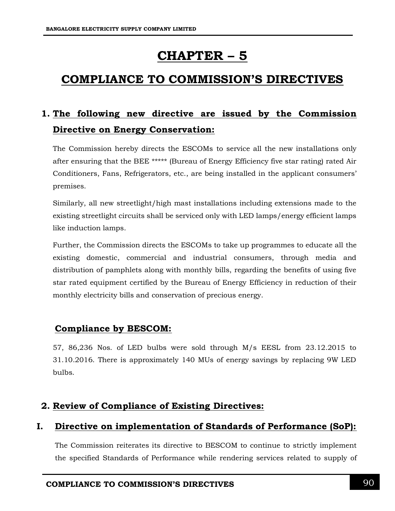# **CHAPTER – 5**

# **COMPLIANCE TO COMMISSION'S DIRECTIVES**

# **1. The following new directive are issued by the Commission Directive on Energy Conservation:**

The Commission hereby directs the ESCOMs to service all the new installations only after ensuring that the BEE \*\*\*\*\* (Bureau of Energy Efficiency five star rating) rated Air Conditioners, Fans, Refrigerators, etc., are being installed in the applicant consumers' premises.

Similarly, all new streetlight/high mast installations including extensions made to the existing streetlight circuits shall be serviced only with LED lamps/energy efficient lamps like induction lamps.

Further, the Commission directs the ESCOMs to take up programmes to educate all the existing domestic, commercial and industrial consumers, through media and distribution of pamphlets along with monthly bills, regarding the benefits of using five star rated equipment certified by the Bureau of Energy Efficiency in reduction of their monthly electricity bills and conservation of precious energy.

# **Compliance by BESCOM:**

57, 86,236 Nos. of LED bulbs were sold through M/s EESL from 23.12.2015 to 31.10.2016. There is approximately 140 MUs of energy savings by replacing 9W LED bulbs.

# **2. Review of Compliance of Existing Directives:**

# **I. Directive on implementation of Standards of Performance (SoP):**

The Commission reiterates its directive to BESCOM to continue to strictly implement the specified Standards of Performance while rendering services related to supply of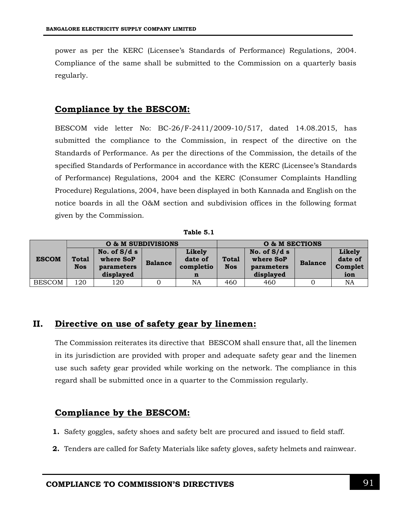power as per the KERC (Licensee's Standards of Performance) Regulations, 2004. Compliance of the same shall be submitted to the Commission on a quarterly basis regularly.

### **Compliance by the BESCOM:**

BESCOM vide letter No: BC-26/F-2411/2009-10/517, dated 14.08.2015, has submitted the compliance to the Commission, in respect of the directive on the Standards of Performance. As per the directions of the Commission, the details of the specified Standards of Performance in accordance with the KERC (Licensee's Standards of Performance) Regulations, 2004 and the KERC (Consumer Complaints Handling Procedure) Regulations, 2004, have been displayed in both Kannada and English on the notice boards in all the O&M section and subdivision offices in the following format given by the Commission.

**Table 5.1**

|               | O & M SUBDIVISIONS         |                                          |                |                                | O & M SECTIONS             |                                          |                |                              |  |
|---------------|----------------------------|------------------------------------------|----------------|--------------------------------|----------------------------|------------------------------------------|----------------|------------------------------|--|
| <b>ESCOM</b>  | <b>Total</b><br><b>Nos</b> | No. of $S/ds$<br>where SoP<br>parameters | <b>Balance</b> | Likely<br>date of<br>completio | <b>Total</b><br><b>Nos</b> | No. of $S/ds$<br>where SoP<br>parameters | <b>Balance</b> | Likely<br>date of<br>Complet |  |
|               |                            | displayed                                |                | n                              |                            | displayed                                |                | ion                          |  |
| <b>BESCOM</b> | 120                        | 120                                      |                | <b>NA</b>                      | 460                        | 460                                      |                | NA                           |  |

# **II. Directive on use of safety gear by linemen:**

The Commission reiterates its directive that BESCOM shall ensure that, all the linemen in its jurisdiction are provided with proper and adequate safety gear and the linemen use such safety gear provided while working on the network. The compliance in this regard shall be submitted once in a quarter to the Commission regularly.

### **Compliance by the BESCOM:**

- **1.** Safety goggles, safety shoes and safety belt are procured and issued to field staff.
- **2.** Tenders are called for Safety Materials like safety gloves, safety helmets and rainwear.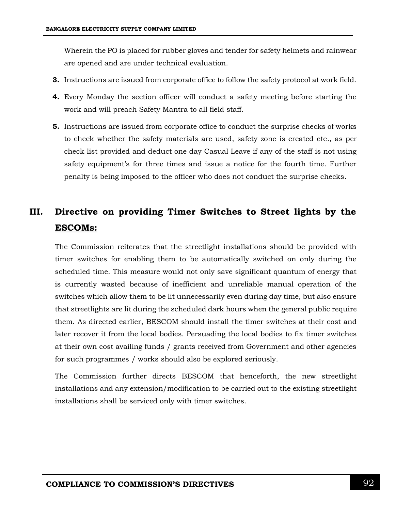Wherein the PO is placed for rubber gloves and tender for safety helmets and rainwear are opened and are under technical evaluation.

- **3.** Instructions are issued from corporate office to follow the safety protocol at work field.
- **4.** Every Monday the section officer will conduct a safety meeting before starting the work and will preach Safety Mantra to all field staff.
- **5.** Instructions are issued from corporate office to conduct the surprise checks of works to check whether the safety materials are used, safety zone is created etc., as per check list provided and deduct one day Casual Leave if any of the staff is not using safety equipment's for three times and issue a notice for the fourth time. Further penalty is being imposed to the officer who does not conduct the surprise checks.

# **III. Directive on providing Timer Switches to Street lights by the ESCOMs:**

The Commission reiterates that the streetlight installations should be provided with timer switches for enabling them to be automatically switched on only during the scheduled time. This measure would not only save significant quantum of energy that is currently wasted because of inefficient and unreliable manual operation of the switches which allow them to be lit unnecessarily even during day time, but also ensure that streetlights are lit during the scheduled dark hours when the general public require them. As directed earlier, BESCOM should install the timer switches at their cost and later recover it from the local bodies. Persuading the local bodies to fix timer switches at their own cost availing funds / grants received from Government and other agencies for such programmes / works should also be explored seriously.

The Commission further directs BESCOM that henceforth, the new streetlight installations and any extension/modification to be carried out to the existing streetlight installations shall be serviced only with timer switches.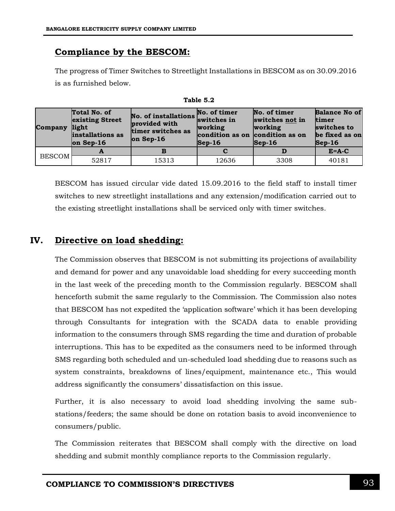## **Compliance by the BESCOM:**

The progress of Timer Switches to Streetlight Installations in BESCOM as on 30.09.2016 is as furnished below.

| Company       | Total No. of<br>existing Street<br>light<br>installations as<br>$ on$ Sep-16 | No. of installations switches in<br>provided with<br>timer switches as<br>$on$ Sep-16 | No. of timer<br>working<br>condition as on condition as on<br>$\textsf{Sep-16}$ | No. of timer<br>switches not in<br>working<br>$\textsf{Sep-16}$ | <b>Balance No of</b><br><b>timer</b><br>switches to<br>be fixed as on<br>$\textsf{Sep-16}$ |  |
|---------------|------------------------------------------------------------------------------|---------------------------------------------------------------------------------------|---------------------------------------------------------------------------------|-----------------------------------------------------------------|--------------------------------------------------------------------------------------------|--|
|               |                                                                              |                                                                                       |                                                                                 |                                                                 | $E = A - C$                                                                                |  |
| <b>BESCOM</b> | 52817                                                                        | 15313                                                                                 | 12636                                                                           | 3308                                                            | 40181                                                                                      |  |

**Table 5.2**

BESCOM has issued circular vide dated 15.09.2016 to the field staff to install timer switches to new streetlight installations and any extension/modification carried out to the existing streetlight installations shall be serviced only with timer switches.

### **IV. Directive on load shedding:**

The Commission observes that BESCOM is not submitting its projections of availability and demand for power and any unavoidable load shedding for every succeeding month in the last week of the preceding month to the Commission regularly. BESCOM shall henceforth submit the same regularly to the Commission. The Commission also notes that BESCOM has not expedited the 'application software' which it has been developing through Consultants for integration with the SCADA data to enable providing information to the consumers through SMS regarding the time and duration of probable interruptions. This has to be expedited as the consumers need to be informed through SMS regarding both scheduled and un-scheduled load shedding due to reasons such as system constraints, breakdowns of lines/equipment, maintenance etc., This would address significantly the consumers' dissatisfaction on this issue.

Further, it is also necessary to avoid load shedding involving the same substations/feeders; the same should be done on rotation basis to avoid inconvenience to consumers/public.

The Commission reiterates that BESCOM shall comply with the directive on load shedding and submit monthly compliance reports to the Commission regularly.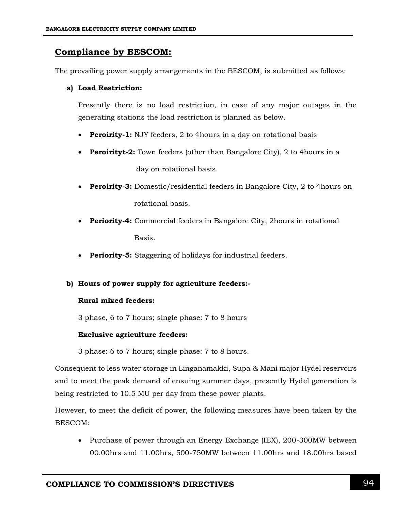## **Compliance by BESCOM:**

The prevailing power supply arrangements in the BESCOM, is submitted as follows:

#### **a) Load Restriction:**

Presently there is no load restriction, in case of any major outages in the generating stations the load restriction is planned as below.

- **Peroirity-1:** NJY feeders, 2 to 4 hours in a day on rotational basis
- **Peroirityt-2:** Town feeders (other than Bangalore City), 2 to 4 hours in a

day on rotational basis.

- **Peroirity-3:** Domestic/residential feeders in Bangalore City, 2 to 4hours on rotational basis.
- **Periority-4:** Commercial feeders in Bangalore City, 2hours in rotational Basis.
- **Periority-5:** Staggering of holidays for industrial feeders.

#### **b) Hours of power supply for agriculture feeders:-**

#### **Rural mixed feeders:**

3 phase, 6 to 7 hours; single phase: 7 to 8 hours

#### **Exclusive agriculture feeders:**

3 phase: 6 to 7 hours; single phase: 7 to 8 hours.

Consequent to less water storage in Linganamakki, Supa & Mani major Hydel reservoirs and to meet the peak demand of ensuing summer days, presently Hydel generation is being restricted to 10.5 MU per day from these power plants.

However, to meet the deficit of power, the following measures have been taken by the BESCOM:

• Purchase of power through an Energy Exchange (IEX), 200-300MW between 00.00hrs and 11.00hrs, 500-750MW between 11.00hrs and 18.00hrs based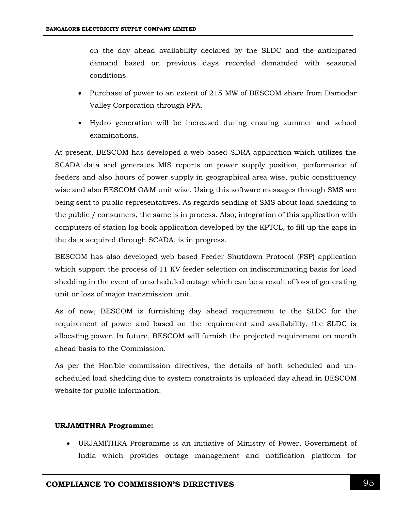on the day ahead availability declared by the SLDC and the anticipated demand based on previous days recorded demanded with seasonal conditions.

- Purchase of power to an extent of 215 MW of BESCOM share from Damodar Valley Corporation through PPA.
- Hydro generation will be increased during ensuing summer and school examinations.

At present, BESCOM has developed a web based SDRA application which utilizes the SCADA data and generates MIS reports on power supply position, performance of feeders and also hours of power supply in geographical area wise, pubic constituency wise and also BESCOM O&M unit wise. Using this software messages through SMS are being sent to public representatives. As regards sending of SMS about load shedding to the public / consumers, the same is in process. Also, integration of this application with computers of station log book application developed by the KPTCL, to fill up the gaps in the data acquired through SCADA, is in progress.

BESCOM has also developed web based Feeder Shutdown Protocol (FSP) application which support the process of 11 KV feeder selection on indiscriminating basis for load shedding in the event of unscheduled outage which can be a result of loss of generating unit or loss of major transmission unit.

As of now, BESCOM is furnishing day ahead requirement to the SLDC for the requirement of power and based on the requirement and availability, the SLDC is allocating power. In future, BESCOM will furnish the projected requirement on month ahead basis to the Commission.

As per the Hon'ble commission directives, the details of both scheduled and unscheduled load shedding due to system constraints is uploaded day ahead in BESCOM website for public information.

#### **URJAMITHRA Programme:**

 URJAMITHRA Programme is an initiative of Ministry of Power, Government of India which provides outage management and notification platform for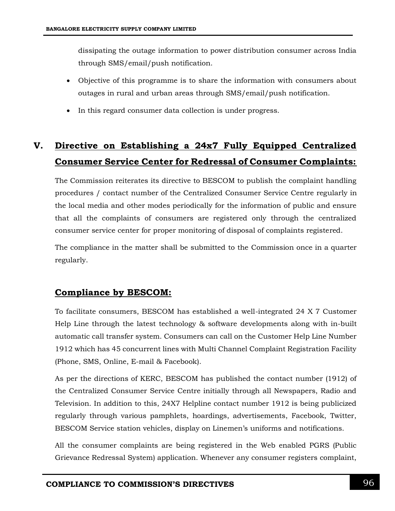dissipating the outage information to power distribution consumer across India through SMS/email/push notification.

- Objective of this programme is to share the information with consumers about outages in rural and urban areas through SMS/email/push notification.
- In this regard consumer data collection is under progress.

# **V. Directive on Establishing a 24x7 Fully Equipped Centralized Consumer Service Center for Redressal of Consumer Complaints:**

The Commission reiterates its directive to BESCOM to publish the complaint handling procedures / contact number of the Centralized Consumer Service Centre regularly in the local media and other modes periodically for the information of public and ensure that all the complaints of consumers are registered only through the centralized consumer service center for proper monitoring of disposal of complaints registered.

The compliance in the matter shall be submitted to the Commission once in a quarter regularly.

# **Compliance by BESCOM:**

To facilitate consumers, BESCOM has established a well-integrated 24 X 7 Customer Help Line through the latest technology & software developments along with in-built automatic call transfer system. Consumers can call on the Customer Help Line Number 1912 which has 45 concurrent lines with Multi Channel Complaint Registration Facility (Phone, SMS, Online, E-mail & Facebook).

As per the directions of KERC, BESCOM has published the contact number (1912) of the Centralized Consumer Service Centre initially through all Newspapers, Radio and Television. In addition to this, 24X7 Helpline contact number 1912 is being publicized regularly through various pamphlets, hoardings, advertisements, Facebook, Twitter, BESCOM Service station vehicles, display on Linemen's uniforms and notifications.

All the consumer complaints are being registered in the Web enabled PGRS (Public Grievance Redressal System) application. Whenever any consumer registers complaint,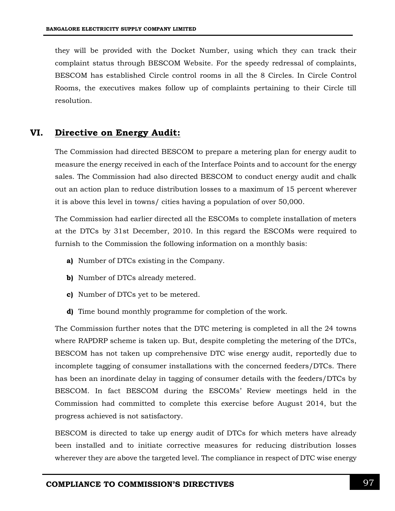they will be provided with the Docket Number, using which they can track their complaint status through BESCOM Website. For the speedy redressal of complaints, BESCOM has established Circle control rooms in all the 8 Circles. In Circle Control Rooms, the executives makes follow up of complaints pertaining to their Circle till resolution.

### **VI. Directive on Energy Audit:**

The Commission had directed BESCOM to prepare a metering plan for energy audit to measure the energy received in each of the Interface Points and to account for the energy sales. The Commission had also directed BESCOM to conduct energy audit and chalk out an action plan to reduce distribution losses to a maximum of 15 percent wherever it is above this level in towns/ cities having a population of over 50,000.

The Commission had earlier directed all the ESCOMs to complete installation of meters at the DTCs by 31st December, 2010. In this regard the ESCOMs were required to furnish to the Commission the following information on a monthly basis:

- **a)** Number of DTCs existing in the Company.
- **b)** Number of DTCs already metered.
- **c)** Number of DTCs yet to be metered.
- **d)** Time bound monthly programme for completion of the work.

The Commission further notes that the DTC metering is completed in all the 24 towns where RAPDRP scheme is taken up. But, despite completing the metering of the DTCs, BESCOM has not taken up comprehensive DTC wise energy audit, reportedly due to incomplete tagging of consumer installations with the concerned feeders/DTCs. There has been an inordinate delay in tagging of consumer details with the feeders/DTCs by BESCOM. In fact BESCOM during the ESCOMs' Review meetings held in the Commission had committed to complete this exercise before August 2014, but the progress achieved is not satisfactory.

BESCOM is directed to take up energy audit of DTCs for which meters have already been installed and to initiate corrective measures for reducing distribution losses wherever they are above the targeted level. The compliance in respect of DTC wise energy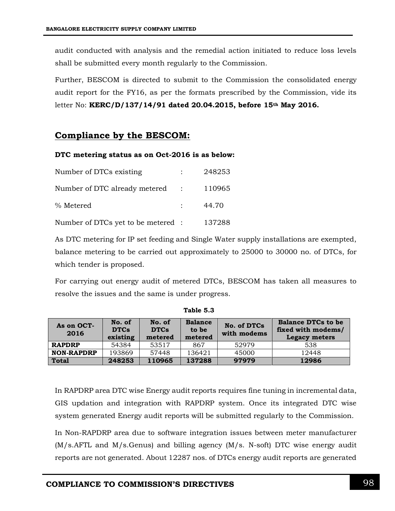audit conducted with analysis and the remedial action initiated to reduce loss levels shall be submitted every month regularly to the Commission.

Further, BESCOM is directed to submit to the Commission the consolidated energy audit report for the FY16, as per the formats prescribed by the Commission, vide its letter No: **KERC/D/137/14/91 dated 20.04.2015, before 15th May 2016.**

## **Compliance by the BESCOM:**

#### **DTC metering status as on Oct-2016 is as below:**

| Number of DTCs existing                   | 248253 |
|-------------------------------------------|--------|
| Number of DTC already metered : 110965    |        |
| % Metered                                 | 44.70  |
| Number of DTCs yet to be metered : 137288 |        |

As DTC metering for IP set feeding and Single Water supply installations are exempted, balance metering to be carried out approximately to 25000 to 30000 no. of DTCs, for which tender is proposed.

For carrying out energy audit of metered DTCs, BESCOM has taken all measures to resolve the issues and the same is under progress.

| As on OCT-<br>2016 | No. of<br><b>DTCs</b><br>existing | No. of<br><b>DTCs</b><br>metered | <b>Balance</b><br>to be<br>metered | No. of DTCs<br>with modems | <b>Balance DTCs to be</b><br>fixed with modems/<br>Legacy meters |
|--------------------|-----------------------------------|----------------------------------|------------------------------------|----------------------------|------------------------------------------------------------------|
| <b>RAPDRP</b>      | 54384                             | 53517                            | 867                                | 52979                      | 538                                                              |
| <b>NON-RAPDRP</b>  | 193869                            | 57448                            | 136421                             | 45000                      | 12448                                                            |
| <b>Total</b>       | 248253                            | 110965                           | 137288                             | 97979                      | 12986                                                            |

**Table 5.3**

In RAPDRP area DTC wise Energy audit reports requires fine tuning in incremental data, GIS updation and integration with RAPDRP system. Once its integrated DTC wise system generated Energy audit reports will be submitted regularly to the Commission.

In Non-RAPDRP area due to software integration issues between meter manufacturer (M/s.AFTL and M/s.Genus) and billing agency (M/s. N-soft) DTC wise energy audit reports are not generated. About 12287 nos. of DTCs energy audit reports are generated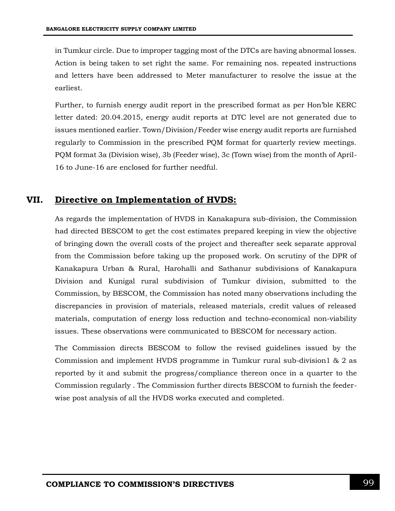in Tumkur circle. Due to improper tagging most of the DTCs are having abnormal losses. Action is being taken to set right the same. For remaining nos. repeated instructions and letters have been addressed to Meter manufacturer to resolve the issue at the earliest.

Further, to furnish energy audit report in the prescribed format as per Hon'ble KERC letter dated: 20.04.2015, energy audit reports at DTC level are not generated due to issues mentioned earlier. Town/Division/Feeder wise energy audit reports are furnished regularly to Commission in the prescribed PQM format for quarterly review meetings. PQM format 3a (Division wise), 3b (Feeder wise), 3c (Town wise) from the month of April-16 to June-16 are enclosed for further needful.

### **VII. Directive on Implementation of HVDS:**

As regards the implementation of HVDS in Kanakapura sub-division, the Commission had directed BESCOM to get the cost estimates prepared keeping in view the objective of bringing down the overall costs of the project and thereafter seek separate approval from the Commission before taking up the proposed work. On scrutiny of the DPR of Kanakapura Urban & Rural, Harohalli and Sathanur subdivisions of Kanakapura Division and Kunigal rural subdivision of Tumkur division, submitted to the Commission, by BESCOM, the Commission has noted many observations including the discrepancies in provision of materials, released materials, credit values of released materials, computation of energy loss reduction and techno-economical non-viability issues. These observations were communicated to BESCOM for necessary action.

The Commission directs BESCOM to follow the revised guidelines issued by the Commission and implement HVDS programme in Tumkur rural sub-division1 & 2 as reported by it and submit the progress/compliance thereon once in a quarter to the Commission regularly . The Commission further directs BESCOM to furnish the feederwise post analysis of all the HVDS works executed and completed.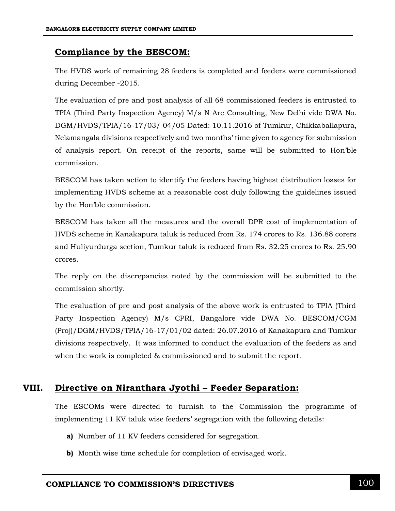## **Compliance by the BESCOM:**

The HVDS work of remaining 28 feeders is completed and feeders were commissioned during December -2015.

The evaluation of pre and post analysis of all 68 commissioned feeders is entrusted to TPIA (Third Party Inspection Agency) M/s N Arc Consulting, New Delhi vide DWA No. DGM/HVDS/TPIA/16-17/03/ 04/05 Dated: 10.11.2016 of Tumkur, Chikkaballapura, Nelamangala divisions respectively and two months' time given to agency for submission of analysis report. On receipt of the reports, same will be submitted to Hon'ble commission.

BESCOM has taken action to identify the feeders having highest distribution losses for implementing HVDS scheme at a reasonable cost duly following the guidelines issued by the Hon'ble commission.

BESCOM has taken all the measures and the overall DPR cost of implementation of HVDS scheme in Kanakapura taluk is reduced from Rs. 174 crores to Rs. 136.88 corers and Huliyurdurga section, Tumkur taluk is reduced from Rs. 32.25 crores to Rs. 25.90 crores.

The reply on the discrepancies noted by the commission will be submitted to the commission shortly.

The evaluation of pre and post analysis of the above work is entrusted to TPIA (Third Party Inspection Agency) M/s CPRI, Bangalore vide DWA No. BESCOM/CGM (Proj)/DGM/HVDS/TPIA/16-17/01/02 dated: 26.07.2016 of Kanakapura and Tumkur divisions respectively. It was informed to conduct the evaluation of the feeders as and when the work is completed & commissioned and to submit the report.

### **VIII. Directive on Niranthara Jyothi – Feeder Separation:**

The ESCOMs were directed to furnish to the Commission the programme of implementing 11 KV taluk wise feeders' segregation with the following details:

- **a)** Number of 11 KV feeders considered for segregation.
- **b)** Month wise time schedule for completion of envisaged work.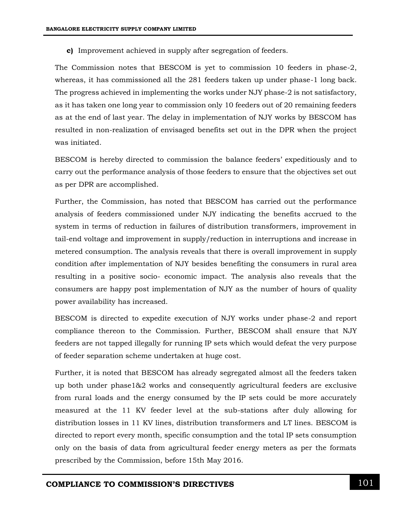**c)** Improvement achieved in supply after segregation of feeders.

The Commission notes that BESCOM is yet to commission 10 feeders in phase-2, whereas, it has commissioned all the 281 feeders taken up under phase-1 long back. The progress achieved in implementing the works under NJY phase-2 is not satisfactory, as it has taken one long year to commission only 10 feeders out of 20 remaining feeders as at the end of last year. The delay in implementation of NJY works by BESCOM has resulted in non-realization of envisaged benefits set out in the DPR when the project was initiated.

BESCOM is hereby directed to commission the balance feeders' expeditiously and to carry out the performance analysis of those feeders to ensure that the objectives set out as per DPR are accomplished.

Further, the Commission, has noted that BESCOM has carried out the performance analysis of feeders commissioned under NJY indicating the benefits accrued to the system in terms of reduction in failures of distribution transformers, improvement in tail-end voltage and improvement in supply/reduction in interruptions and increase in metered consumption. The analysis reveals that there is overall improvement in supply condition after implementation of NJY besides benefiting the consumers in rural area resulting in a positive socio- economic impact. The analysis also reveals that the consumers are happy post implementation of NJY as the number of hours of quality power availability has increased.

BESCOM is directed to expedite execution of NJY works under phase-2 and report compliance thereon to the Commission. Further, BESCOM shall ensure that NJY feeders are not tapped illegally for running IP sets which would defeat the very purpose of feeder separation scheme undertaken at huge cost.

Further, it is noted that BESCOM has already segregated almost all the feeders taken up both under phase1&2 works and consequently agricultural feeders are exclusive from rural loads and the energy consumed by the IP sets could be more accurately measured at the 11 KV feeder level at the sub-stations after duly allowing for distribution losses in 11 KV lines, distribution transformers and LT lines. BESCOM is directed to report every month, specific consumption and the total IP sets consumption only on the basis of data from agricultural feeder energy meters as per the formats prescribed by the Commission, before 15th May 2016.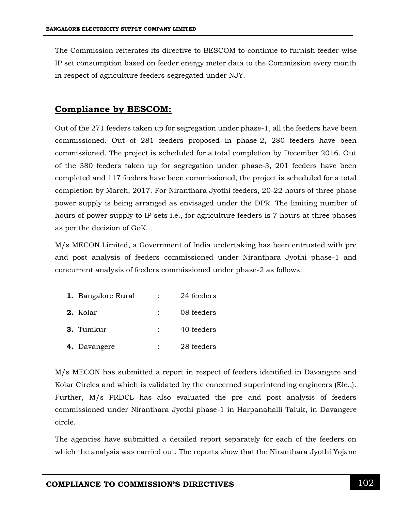The Commission reiterates its directive to BESCOM to continue to furnish feeder-wise IP set consumption based on feeder energy meter data to the Commission every month in respect of agriculture feeders segregated under NJY.

## **Compliance by BESCOM:**

Out of the 271 feeders taken up for segregation under phase-1, all the feeders have been commissioned. Out of 281 feeders proposed in phase-2, 280 feeders have been commissioned. The project is scheduled for a total completion by December 2016. Out of the 380 feeders taken up for segregation under phase-3, 201 feeders have been completed and 117 feeders have been commissioned, the project is scheduled for a total completion by March, 2017. For Niranthara Jyothi feeders, 20-22 hours of three phase power supply is being arranged as envisaged under the DPR. The limiting number of hours of power supply to IP sets i.e., for agriculture feeders is 7 hours at three phases as per the decision of GoK.

M/s MECON Limited, a Government of India undertaking has been entrusted with pre and post analysis of feeders commissioned under Niranthara Jyothi phase-1 and concurrent analysis of feeders commissioned under phase-2 as follows:

| 1. Bangalore Rural | $\sim 10^{-10}$ | 24 feeders |
|--------------------|-----------------|------------|
| 2. Kolar           |                 | 08 feeders |
| 3. Tumkur          | $\mathbb{R}^n$  | 40 feeders |
| 4. Davangere       |                 | 28 feeders |

M/s MECON has submitted a report in respect of feeders identified in Davangere and Kolar Circles and which is validated by the concerned superintending engineers (Ele.,). Further, M/s PRDCL has also evaluated the pre and post analysis of feeders commissioned under Niranthara Jyothi phase-1 in Harpanahalli Taluk, in Davangere circle.

The agencies have submitted a detailed report separately for each of the feeders on which the analysis was carried out. The reports show that the Niranthara Jyothi Yojane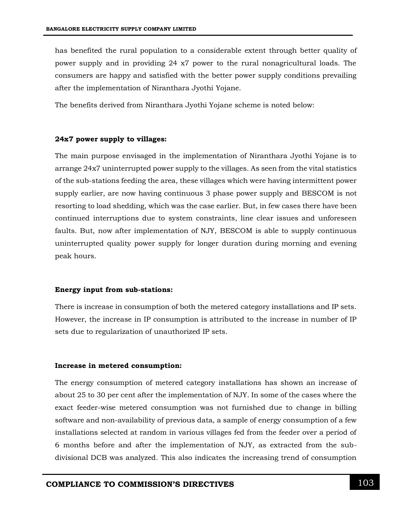has benefited the rural population to a considerable extent through better quality of power supply and in providing 24 x7 power to the rural nonagricultural loads. The consumers are happy and satisfied with the better power supply conditions prevailing after the implementation of Niranthara Jyothi Yojane.

The benefits derived from Niranthara Jyothi Yojane scheme is noted below:

#### **24x7 power supply to villages:**

The main purpose envisaged in the implementation of Niranthara Jyothi Yojane is to arrange 24x7 uninterrupted power supply to the villages. As seen from the vital statistics of the sub-stations feeding the area, these villages which were having intermittent power supply earlier, are now having continuous 3 phase power supply and BESCOM is not resorting to load shedding, which was the case earlier. But, in few cases there have been continued interruptions due to system constraints, line clear issues and unforeseen faults. But, now after implementation of NJY, BESCOM is able to supply continuous uninterrupted quality power supply for longer duration during morning and evening peak hours.

#### **Energy input from sub-stations:**

There is increase in consumption of both the metered category installations and IP sets. However, the increase in IP consumption is attributed to the increase in number of IP sets due to regularization of unauthorized IP sets.

#### **Increase in metered consumption:**

The energy consumption of metered category installations has shown an increase of about 25 to 30 per cent after the implementation of NJY. In some of the cases where the exact feeder-wise metered consumption was not furnished due to change in billing software and non-availability of previous data, a sample of energy consumption of a few installations selected at random in various villages fed from the feeder over a period of 6 months before and after the implementation of NJY, as extracted from the subdivisional DCB was analyzed. This also indicates the increasing trend of consumption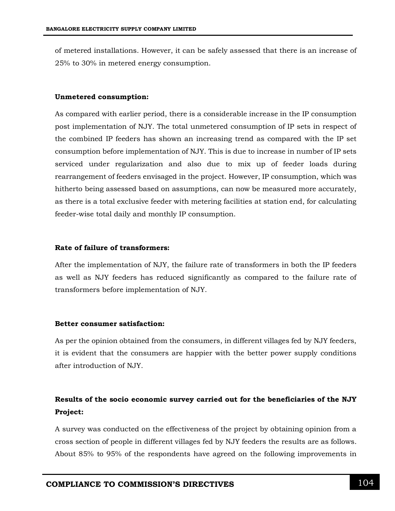of metered installations. However, it can be safely assessed that there is an increase of 25% to 30% in metered energy consumption.

#### **Unmetered consumption:**

As compared with earlier period, there is a considerable increase in the IP consumption post implementation of NJY. The total unmetered consumption of IP sets in respect of the combined IP feeders has shown an increasing trend as compared with the IP set consumption before implementation of NJY. This is due to increase in number of IP sets serviced under regularization and also due to mix up of feeder loads during rearrangement of feeders envisaged in the project. However, IP consumption, which was hitherto being assessed based on assumptions, can now be measured more accurately, as there is a total exclusive feeder with metering facilities at station end, for calculating feeder-wise total daily and monthly IP consumption.

#### **Rate of failure of transformers:**

After the implementation of NJY, the failure rate of transformers in both the IP feeders as well as NJY feeders has reduced significantly as compared to the failure rate of transformers before implementation of NJY.

#### **Better consumer satisfaction:**

As per the opinion obtained from the consumers, in different villages fed by NJY feeders, it is evident that the consumers are happier with the better power supply conditions after introduction of NJY.

## **Results of the socio economic survey carried out for the beneficiaries of the NJY Project:**

A survey was conducted on the effectiveness of the project by obtaining opinion from a cross section of people in different villages fed by NJY feeders the results are as follows. About 85% to 95% of the respondents have agreed on the following improvements in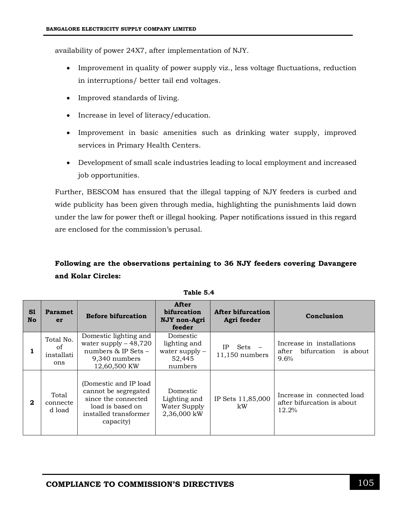availability of power 24X7, after implementation of NJY.

- Improvement in quality of power supply viz., less voltage fluctuations, reduction in interruptions/ better tail end voltages.
- Improved standards of living.
- Increase in level of literacy/education.
- Improvement in basic amenities such as drinking water supply, improved services in Primary Health Centers.
- Development of small scale industries leading to local employment and increased job opportunities.

Further, BESCOM has ensured that the illegal tapping of NJY feeders is curbed and wide publicity has been given through media, highlighting the punishments laid down under the law for power theft or illegal hooking. Paper notifications issued in this regard are enclosed for the commission's perusal.

# **Following are the observations pertaining to 36 NJY feeders covering Davangere and Kolar Circles:**

| S1<br><b>No</b> | <b>Paramet</b><br>er                 | <b>Before bifurcation</b>                                                                                                       | After<br>bifurcation<br>NJY non-Agri<br>feeder                    | After bifurcation<br>Agri feeder | Conclusion                                                         |
|-----------------|--------------------------------------|---------------------------------------------------------------------------------------------------------------------------------|-------------------------------------------------------------------|----------------------------------|--------------------------------------------------------------------|
|                 | Total No.<br>of<br>installati<br>ons | Domestic lighting and<br>water supply $-48,720$<br>numbers $&$ IP Sets $-$<br>9,340 numbers<br>12,60,500 KW                     | Domestic<br>lighting and<br>water supply $-$<br>52,445<br>numbers | IΡ<br>Sets<br>11,150 numbers     | Increase in installations<br>bifurcation is about<br>after<br>9.6% |
| $\mathbf{2}$    | Total<br>connecte<br>d load          | (Domestic and IP load)<br>cannot be segregated<br>since the connected<br>load is based on<br>installed transformer<br>capacity) | Domestic<br>Lighting and<br>Water Supply<br>2,36,000 kW           | IP Sets 11,85,000<br>kW          | Increase in connected load<br>after bifurcation is about<br>12.2%  |

**Table 5.4**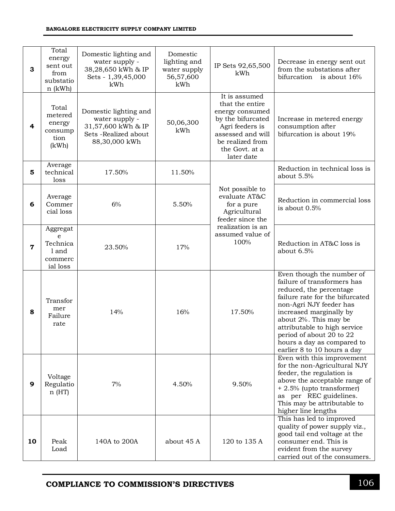| 3           | Total<br>energy<br>sent out<br>from<br>substatio<br>$n$ (kWh) | Domestic lighting and<br>water supply -<br>38,28,650 kWh & IP<br>Sets - 1,39,45,000<br>kWh              | Domestic<br>lighting and<br>water supply<br>56,57,600<br>kWh | IP Sets 92,65,500<br>kWh                                                                                                                                             | Decrease in energy sent out<br>from the substations after<br>bifurcation<br>is about 16%                                                                                                                                                                                                                                       |
|-------------|---------------------------------------------------------------|---------------------------------------------------------------------------------------------------------|--------------------------------------------------------------|----------------------------------------------------------------------------------------------------------------------------------------------------------------------|--------------------------------------------------------------------------------------------------------------------------------------------------------------------------------------------------------------------------------------------------------------------------------------------------------------------------------|
| 4           | Total<br>metered<br>energy<br>consump<br>tion<br>(kWh)        | Domestic lighting and<br>water supply -<br>31,57,600 kWh & IP<br>Sets - Realized about<br>88,30,000 kWh | 50,06,300<br>kWh                                             | It is assumed<br>that the entire<br>energy consumed<br>by the bifurcated<br>Agri feeders is<br>assessed and will<br>be realized from<br>the Govt. at a<br>later date | Increase in metered energy<br>consumption after<br>bifurcation is about 19%                                                                                                                                                                                                                                                    |
| 5           | Average<br>technical<br>loss                                  | 17.50%                                                                                                  | 11.50%                                                       |                                                                                                                                                                      | Reduction in technical loss is<br>about 5.5%                                                                                                                                                                                                                                                                                   |
| 6           | Average<br>Commer<br>cial loss                                | 6%                                                                                                      | 5.50%                                                        | Not possible to<br>evaluate AT&C<br>for a pure<br>Agricultural<br>feeder since the                                                                                   | Reduction in commercial loss<br>is about $0.5%$                                                                                                                                                                                                                                                                                |
| $\mathbf 7$ | Aggregat<br>e<br>Technica<br>1 and<br>commerc<br>ial loss     | 23.50%                                                                                                  | 17%                                                          | realization is an<br>assumed value of<br>100%                                                                                                                        | Reduction in AT&C loss is<br>about 6.5%                                                                                                                                                                                                                                                                                        |
| 8           | Transfor<br>mer<br>Failure<br>rate                            | 14%                                                                                                     | 16%                                                          | 17.50%                                                                                                                                                               | Even though the number of<br>failure of transformers has<br>reduced, the percentage<br>failure rate for the bifurcated<br>non-Agri NJY feeder has<br>increased marginally by<br>about 2%. This may be<br>attributable to high service<br>period of about 20 to 22<br>hours a day as compared to<br>earlier 8 to 10 hours a day |
| 9           | Voltage<br>Regulatio<br>n(HT)                                 | 7%                                                                                                      | 4.50%                                                        | 9.50%                                                                                                                                                                | Even with this improvement<br>for the non-Agricultural NJY<br>feeder, the regulation is<br>above the acceptable range of<br>+ 2.5% (upto transformer)<br>as per REC guidelines.<br>This may be attributable to<br>higher line lengths                                                                                          |
| 10          | Peak<br>Load                                                  | 140A to 200A                                                                                            | about 45 A                                                   | 120 to 135 A                                                                                                                                                         | This has led to improved<br>quality of power supply viz.,<br>good tail end voltage at the<br>consumer end. This is<br>evident from the survey<br>carried out of the consumers.                                                                                                                                                 |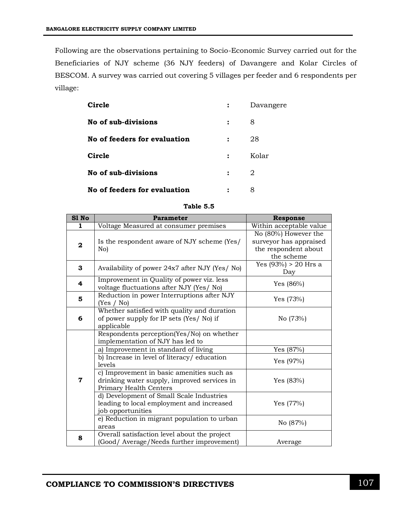Following are the observations pertaining to Socio-Economic Survey carried out for the Beneficiaries of NJY scheme (36 NJY feeders) of Davangere and Kolar Circles of BESCOM. A survey was carried out covering 5 villages per feeder and 6 respondents per village:

| Circle                       |                | Davangere |
|------------------------------|----------------|-----------|
| No of sub-divisions          | :              | 8         |
| No of feeders for evaluation | $\ddot{\cdot}$ | 28        |
| Circle                       | $\ddot{\cdot}$ | Kolar     |
| No of sub-divisions          | $\ddot{\cdot}$ | 2         |
| No of feeders for evaluation |                | 8         |

| abl<br>ł |  |
|----------|--|
|----------|--|

| S1 No        | <b>Parameter</b>                                                                                                      | <b>Response</b>                                                                      |
|--------------|-----------------------------------------------------------------------------------------------------------------------|--------------------------------------------------------------------------------------|
| 1            | Voltage Measured at consumer premises                                                                                 | Within acceptable value                                                              |
| $\mathbf{2}$ | Is the respondent aware of NJY scheme (Yes/<br>No)                                                                    | No (80%) However the<br>surveyor has appraised<br>the respondent about<br>the scheme |
| 3            | Availability of power 24x7 after NJY (Yes/ No)                                                                        | Yes $(93%) > 20$ Hrs a<br>Day                                                        |
| 4            | Improvement in Quality of power viz. less<br>voltage fluctuations after NJY (Yes/ No)                                 | Yes $(86%)$                                                                          |
| 5            | Reduction in power Interruptions after NJY<br>(Yes / No)                                                              | Yes $(73%)$                                                                          |
| 6            | Whether satisfied with quality and duration<br>of power supply for IP sets (Yes/No) if<br>applicable                  | No (73%)                                                                             |
|              | Respondents perception(Yes/No) on whether<br>implementation of NJY has led to<br>a) Improvement in standard of living | Yes (87%)                                                                            |
|              | b) Increase in level of literacy/education<br>levels                                                                  | Yes $(97%)$                                                                          |
| 7            | c) Improvement in basic amenities such as<br>drinking water supply, improved services in<br>Primary Health Centers    | Yes $(83%)$                                                                          |
|              | d) Development of Small Scale Industries<br>leading to local employment and increased<br>job opportunities            | Yes (77%)                                                                            |
|              | e) Reduction in migrant population to urban<br>areas                                                                  | No (87%)                                                                             |
| 8            | Overall satisfaction level about the project<br>(Good/ Average/Needs further improvement)                             | Average                                                                              |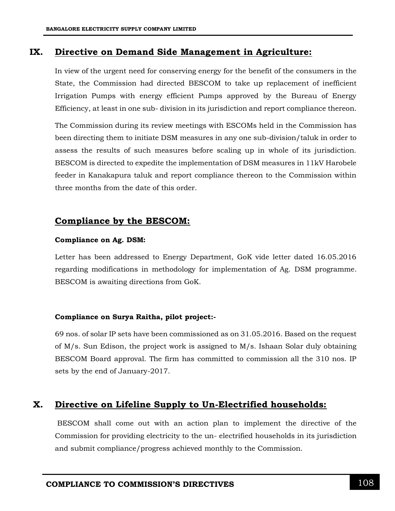#### **IX. Directive on Demand Side Management in Agriculture:**

In view of the urgent need for conserving energy for the benefit of the consumers in the State, the Commission had directed BESCOM to take up replacement of inefficient Irrigation Pumps with energy efficient Pumps approved by the Bureau of Energy Efficiency, at least in one sub- division in its jurisdiction and report compliance thereon.

The Commission during its review meetings with ESCOMs held in the Commission has been directing them to initiate DSM measures in any one sub-division/taluk in order to assess the results of such measures before scaling up in whole of its jurisdiction. BESCOM is directed to expedite the implementation of DSM measures in 11kV Harobele feeder in Kanakapura taluk and report compliance thereon to the Commission within three months from the date of this order.

#### **Compliance by the BESCOM:**

#### **Compliance on Ag. DSM:**

Letter has been addressed to Energy Department, GoK vide letter dated 16.05.2016 regarding modifications in methodology for implementation of Ag. DSM programme. BESCOM is awaiting directions from GoK.

#### **Compliance on Surya Raitha, pilot project:-**

69 nos. of solar IP sets have been commissioned as on 31.05.2016. Based on the request of M/s. Sun Edison, the project work is assigned to M/s. Ishaan Solar duly obtaining BESCOM Board approval. The firm has committed to commission all the 310 nos. IP sets by the end of January-2017.

### **X. Directive on Lifeline Supply to Un-Electrified households:**

BESCOM shall come out with an action plan to implement the directive of the Commission for providing electricity to the un- electrified households in its jurisdiction and submit compliance/progress achieved monthly to the Commission.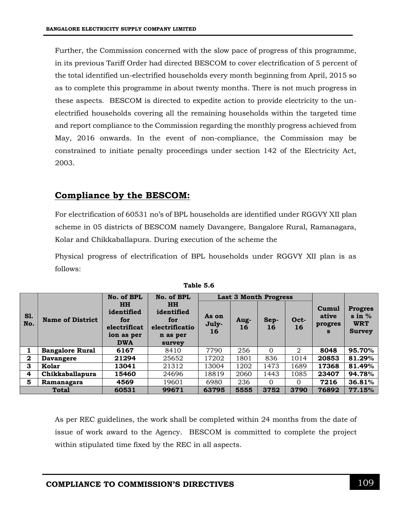Further, the Commission concerned with the slow pace of progress of this programme, in its previous Tariff Order had directed BESCOM to cover electrification of 5 percent of the total identified un-electrified households every month beginning from April, 2015 so as to complete this programme in about twenty months. There is not much progress in these aspects. BESCOM is directed to expedite action to provide electricity to the unelectrified households covering all the remaining households within the targeted time and report compliance to the Commission regarding the monthly progress achieved from May, 2016 onwards. In the event of non-compliance, the Commission may be constrained to initiate penalty proceedings under section 142 of the Electricity Act, 2003.

## **Compliance by the BESCOM:**

For electrification of 60531 no's of BPL households are identified under RGGVY XII plan scheme in 05 districts of BESCOM namely Davangere, Bangalore Rural, Ramanagara, Kolar and Chikkaballapura. During execution of the scheme the

Physical progress of electrification of BPL households under RGGVY XII plan is as follows:

|              |                         | No. of BPL                                                                 | No. of BPL                                                             |                      | <b>Last 3 Month Progress</b> |            |            |                                |                                                                       |
|--------------|-------------------------|----------------------------------------------------------------------------|------------------------------------------------------------------------|----------------------|------------------------------|------------|------------|--------------------------------|-----------------------------------------------------------------------|
| S1.<br>No.   | <b>Name of District</b> | <b>HH</b><br>identified<br>for<br>electrificat<br>ion as per<br><b>DWA</b> | <b>HH</b><br>identified<br>for<br>electrificatio<br>n as per<br>survey | As on<br>July-<br>16 | Aug-<br>16                   | Sep-<br>16 | Oct-<br>16 | Cumul<br>ative<br>progres<br>S | <b>Progres</b><br>$\sin \frac{\pi}{6}$<br><b>WRT</b><br><b>Survey</b> |
|              | <b>Bangalore Rural</b>  | 6167                                                                       | 8410                                                                   | 7790                 | 256                          | $\Omega$   | 2          | 8048                           | 95.70%                                                                |
| $\mathbf{2}$ | <b>Davangere</b>        | 21294                                                                      | 25652                                                                  | 17202                | 1801                         | 836        | 1014       | 20853                          | 81.29%                                                                |
| 3            | Kolar                   | 13041                                                                      | 21312                                                                  | 13004                | 1202                         | 1473       | 1689       | 17368                          | 81.49%                                                                |
| 4            | Chikkaballapura         | 15460                                                                      | 24696                                                                  | 18819                | 2060                         | 1443       | 1085       | 23407                          | 94.78%                                                                |
| 5            | Ramanagara              | 4569                                                                       | 19601                                                                  | 6980                 | 236                          | $\Omega$   | 0          | 7216                           | 36.81%                                                                |
|              | <b>Total</b>            | 60531                                                                      | 99671                                                                  | 63795                | 5555                         | 3752       | 3790       | 76892                          | 77.15%                                                                |

| Table 5.6 |  |
|-----------|--|
|           |  |

As per REC guidelines, the work shall be completed within 24 months from the date of issue of work award to the Agency. BESCOM is committed to complete the project within stipulated time fixed by the REC in all aspects.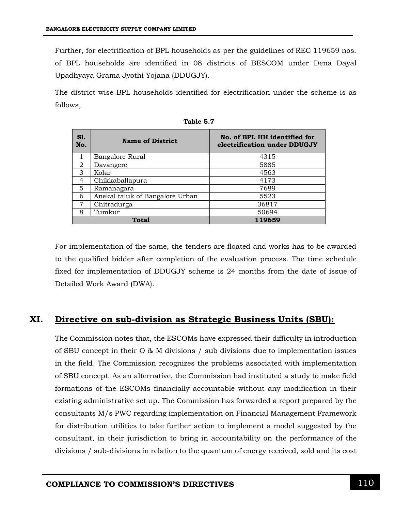Further, for electrification of BPL households as per the guidelines of REC 119659 nos. of BPL households are identified in 08 districts of BESCOM under Dena Dayal Upadhyaya Grama Jyothi Yojana (DDUGJY).

The district wise BPL households identified for electrification under the scheme is as follows,

| <b>S1.</b><br>No. | <b>Name of District</b>         | No. of BPL HH identified for<br>electrification under DDUGJY |  |  |  |  |
|-------------------|---------------------------------|--------------------------------------------------------------|--|--|--|--|
|                   | Bangalore Rural                 | 4315                                                         |  |  |  |  |
| $\overline{2}$    | Davangere                       | 5885                                                         |  |  |  |  |
| 3                 | Kolar                           | 4563                                                         |  |  |  |  |
| $\overline{4}$    | Chikkaballapura                 | 4173                                                         |  |  |  |  |
| 5                 | Ramanagara                      | 7689                                                         |  |  |  |  |
| 6                 | Anekal taluk of Bangalore Urban | 5523                                                         |  |  |  |  |
| 7                 | Chitradurga                     | 36817                                                        |  |  |  |  |
| 8                 | Tumkur                          | 50694                                                        |  |  |  |  |
|                   | Total                           | 119659                                                       |  |  |  |  |

For implementation of the same, the tenders are floated and works has to be awarded to the qualified bidder after completion of the evaluation process. The time schedule fixed for implementation of DDUGJY scheme is 24 months from the date of issue of Detailed Work Award (DWA).

#### **XI. Directive on sub-division as Strategic Business Units (SBU):**

The Commission notes that, the ESCOMs have expressed their difficulty in introduction of SBU concept in their O & M divisions / sub divisions due to implementation issues in the field. The Commission recognizes the problems associated with implementation of SBU concept. As an alternative, the Commission had instituted a study to make field formations of the ESCOMs financially accountable without any modification in their existing administrative set up. The Commission has forwarded a report prepared by the consultants M/s PWC regarding implementation on Financial Management Framework for distribution utilities to take further action to implement a model suggested by the consultant, in their jurisdiction to bring in accountability on the performance of the divisions / sub-divisions in relation to the quantum of energy received, sold and its cost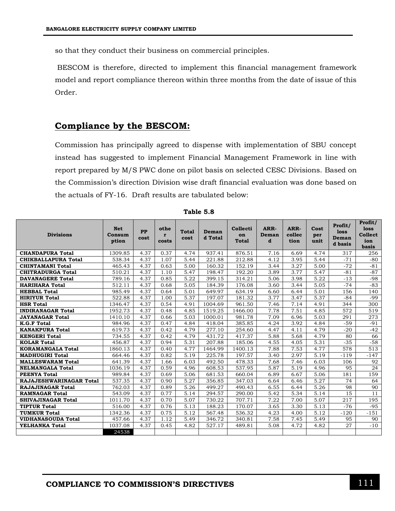so that they conduct their business on commercial principles.

BESCOM is therefore, directed to implement this financial management framework model and report compliance thereon within three months from the date of issue of this Order.

#### **Compliance by the BESCOM:**

Commission has principally agreed to dispense with implementation of SBU concept instead has suggested to implement Financial Management Framework in line with report prepared by M/S PWC done on pilot basis on selected CESC Divisions. Based on the Commission's direction Division wise draft financial evaluation was done based on the actuals of FY-16. Draft results are tabulated below:

| <b>Divisions</b>               | <b>Net</b><br>Consum<br>ption | PP<br>cost | othe<br>r<br>costs | <b>Total</b><br>cost | Deman<br>d Total | Collecti<br>on<br>Total | ARR-<br>Deman<br>d | ARR-<br>collec<br>tion | Cost<br>per<br>unit | Profit/<br>loss<br>Deman<br>d basis | Profit/<br>loss<br><b>Collect</b><br>ion<br>basis |
|--------------------------------|-------------------------------|------------|--------------------|----------------------|------------------|-------------------------|--------------------|------------------------|---------------------|-------------------------------------|---------------------------------------------------|
| <b>CHANDAPURA Total</b>        | 1309.85                       | 4.37       | 0.37               | 4.74                 | 937.41           | 876.51                  | 7.16               | 6.69                   | 4.74                | 317                                 | 256                                               |
| CHIKBALLAPURA Total            | 538.34                        | 4.37       | 1.07               | 5.44                 | 221.88           | 212.88                  | 4.12               | 3.95                   | 5.44                | $-71$                               | $-80$                                             |
| <b>CHINTAMANI Total</b>        | 465.43                        | 4.37       | 0.63               | 5.00                 | 160.32           | 152.19                  | 3.44               | 3.27                   | 5.00                | $-72$                               | $-81$                                             |
| <b>CHITRADURGA Total</b>       | 510.21                        | 4.37       | 1.10               | 5.47                 | 198.47           | 192.20                  | 3.89               | 3.77                   | 5.47                | $-81$                               | $-87$                                             |
| <b>DAVANAGERE Total</b>        | 789.16                        | 4.37       | 0.85               | 5.22                 | 399.15           | 314.21                  | 5.06               | 3.98                   | 5.22                | $-13$                               | $-98$                                             |
| <b>HARIHARA Total</b>          | 512.11                        | 4.37       | 0.68               | 5.05                 | 184.39           | 176.08                  | 3.60               | 3.44                   | 5.05                | $-74$                               | $-83$                                             |
| <b>HEBBAL Total</b>            | 985.49                        | 4.37       | 0.64               | 5.01                 | 649.97           | 634.19                  | 6.60               | 6.44                   | 5.01                | 156                                 | 140                                               |
| <b>HIRIYUR Total</b>           | 522.88                        | 4.37       | 1.00               | 5.37                 | 197.07           | 181.32                  | 3.77               | 3.47                   | 5.37                | $-84$                               | $-99$                                             |
| <b>HSR Total</b>               | 1346.47                       | 4.37       | 0.54               | 4.91                 | 1004.69          | 961.50                  | 7.46               | 7.14                   | 4.91                | 344                                 | 300                                               |
| <b>INDIRANAGAR Total</b>       | 1952.73                       | 4.37       | 0.48               | 4.85                 | 1519.25          | 1466.00                 | 7.78               | 7.51                   | 4.85                | 572                                 | 519                                               |
| <b>JAYANAGAR Total</b>         | 1410.10                       | 4.37       | 0.66               | 5.03                 | 1000.01          | 981.78                  | 7.09               | 6.96                   | 5.03                | 291                                 | 273                                               |
| <b>K.G.F Total</b>             | 984.96                        | 4.37       | 0.47               | 4.84                 | 418.04           | 385.85                  | 4.24               | 3.92                   | 4.84                | $-59$                               | $-91$                                             |
| <b>KANAKPURA Total</b>         | 619.73                        | 4.37       | 0.42               | 4.79                 | 277.10           | 254.60                  | 4.47               | 4.11                   | 4.79                | $-20$                               | $-42$                                             |
| <b>KENGERI Total</b>           | 734.55                        | 4.37       | 0.42               | 4.79                 | 431.72           | 417.37                  | 5.88               | 5.68                   | 4.79                | 80                                  | 66                                                |
| <b>KOLAR Total</b>             | 456.87                        | 4.37       | 0.94               | 5.31                 | 207.88           | 185.06                  | 4.55               | 4.05                   | 5.31                | $-35$                               | $-58$                                             |
| <b>KORAMANGALA Total</b>       | 1860.13                       | 4.37       | 0.40               | 4.77                 | 1464.99          | 1400.13                 | 7.88               | 7.53                   | 4.77                | 578                                 | 513                                               |
| <b>MADHUGIRI Total</b>         | 664.46                        | 4.37       | 0.82               | 5.19                 | 225.78           | 197.57                  | 3.40               | 2.97                   | 5.19                | $-119$                              | $-147$                                            |
| <b>MALLESWARAM Total</b>       | 641.39                        | 4.37       | 1.66               | 6.03                 | 492.50           | 478.33                  | 7.68               | 7.46                   | 6.03                | 106                                 | 92                                                |
| <b>NELMANGALA Total</b>        | 1036.19                       | 4.37       | 0.59               | 4.96                 | 608.53           | 537.95                  | 5.87               | 5.19                   | 4.96                | 95                                  | 24                                                |
| <b>PEENYA Total</b>            | 989.84                        | 4.37       | 0.69               | 5.06                 | 681.53           | 660.04                  | 6.89               | 6.67                   | 5.06                | 181                                 | 159                                               |
| <b>RAJAJESHWARINAGAR Total</b> | 537.35                        | 4.37       | 0.90               | 5.27                 | 356.85           | 347.03                  | 6.64               | 6.46                   | 5.27                | 74                                  | 64                                                |
| <b>RAJAJINAGAR Total</b>       | 762.03                        | 4.37       | 0.89               | 5.26                 | 499.27           | 490.43                  | 6.55               | 6.44                   | 5.26                | 98                                  | 90                                                |
| <b>RAMNAGAR Total</b>          | 543.09                        | 4.37       | 0.77               | 5.14                 | 294.57           | 290.00                  | 5.42               | 5.34                   | 5.14                | 15                                  | 11                                                |
| <b>SHIVAJINAGAR Total</b>      | 1011.70                       | 4.37       | 0.70               | 5.07                 | 730.22           | 707.71                  | 7.22               | 7.00                   | 5.07                | 217                                 | 195                                               |
| <b>TIPTUR Total</b>            | 516.00                        | 4.37       | 0.76               | 5.13                 | 188.23           | 170.07                  | 3.65               | 3.30                   | 5.13                | $-76$                               | $-95$                                             |
| <b>TUMKUR Total</b>            | 1342.36                       | 4.37       | 0.75               | 5.12                 | 567.48           | 536.32                  | 4.23               | 4.00                   | 5.12                | $-120$                              | $-151$                                            |
| <b>VIDHANASOUDA Total</b>      | 457.66                        | 4.37       | 1.12               | 5.49                 | 346.72           | 340.81                  | 7.58               | 7.45                   | 5.49                | 95                                  | 90                                                |
| YELHANKA Total                 | 1037.08                       | 4.37       | 0.45               | 4.82                 | 527.17           | 489.81                  | 5.08               | 4.72                   | 4.82                | 27                                  | $-10$                                             |
|                                | 24538                         |            |                    |                      |                  |                         |                    |                        |                     |                                     |                                                   |

**Table 5.8**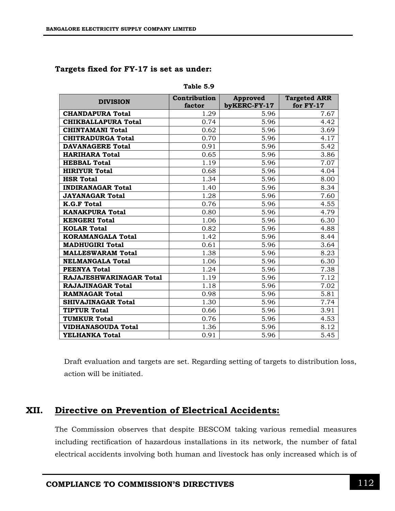| Targets fixed for FY-17 is set as under: |  |  |  |  |  |  |  |
|------------------------------------------|--|--|--|--|--|--|--|
|------------------------------------------|--|--|--|--|--|--|--|

| <b>DIVISION</b>            | Contribution<br>factor | <b>Approved</b><br>byKERC-FY-17 | <b>Targeted ARR</b><br>for FY-17 |
|----------------------------|------------------------|---------------------------------|----------------------------------|
| <b>CHANDAPURA Total</b>    | 1.29                   | 5.96                            | 7.67                             |
| <b>CHIKBALLAPURA Total</b> | 0.74                   | 5.96                            | 4.42                             |
| <b>CHINTAMANI Total</b>    | 0.62                   | 5.96                            | 3.69                             |
| <b>CHITRADURGA Total</b>   | 0.70                   | 5.96                            | 4.17                             |
| <b>DAVANAGERE Total</b>    | 0.91                   | 5.96                            | 5.42                             |
| <b>HARIHARA Total</b>      | 0.65                   | 5.96                            | 3.86                             |
| <b>HEBBAL Total</b>        | 1.19                   | 5.96                            | 7.07                             |
| <b>HIRIYUR Total</b>       | 0.68                   | 5.96                            | 4.04                             |
| <b>HSR Total</b>           | 1.34                   | 5.96                            | 8.00                             |
| <b>INDIRANAGAR Total</b>   | 1.40                   | 5.96                            | 8.34                             |
| <b>JAYANAGAR Total</b>     | 1.28                   | 5.96                            | 7.60                             |
| <b>K.G.F Total</b>         | 0.76                   | 5.96                            | 4.55                             |
| <b>KANAKPURA Total</b>     | 0.80                   | 5.96                            | 4.79                             |
| <b>KENGERI Total</b>       | 1.06                   | 5.96                            | 6.30                             |
| <b>KOLAR Total</b>         | 0.82                   | 5.96                            | 4.88                             |
| <b>KORAMANGALA Total</b>   | 1.42                   | 5.96                            | 8.44                             |
| <b>MADHUGIRI Total</b>     | 0.61                   | 5.96                            | 3.64                             |
| <b>MALLESWARAM Total</b>   | 1.38                   | 5.96                            | 8.23                             |
| <b>NELMANGALA Total</b>    | 1.06                   | 5.96                            | 6.30                             |
| <b>PEENYA Total</b>        | 1.24                   | 5.96                            | 7.38                             |
| RAJAJESHWARINAGAR Total    | 1.19                   | 5.96                            | 7.12                             |
| <b>RAJAJINAGAR Total</b>   | 1.18                   | 5.96                            | 7.02                             |
| <b>RAMNAGAR Total</b>      | 0.98                   | 5.96                            | 5.81                             |
| <b>SHIVAJINAGAR Total</b>  | 1.30                   | 5.96                            | 7.74                             |
| <b>TIPTUR Total</b>        | 0.66                   | 5.96                            | 3.91                             |
| <b>TUMKUR Total</b>        | 0.76                   | 5.96                            | 4.53                             |
| <b>VIDHANASOUDA Total</b>  | 1.36                   | 5.96                            | 8.12                             |
| YELHANKA Total             | 0.91                   | 5.96                            | 5.45                             |

**Table 5.9**

Draft evaluation and targets are set. Regarding setting of targets to distribution loss, action will be initiated.

### **XII. Directive on Prevention of Electrical Accidents:**

The Commission observes that despite BESCOM taking various remedial measures including rectification of hazardous installations in its network, the number of fatal electrical accidents involving both human and livestock has only increased which is of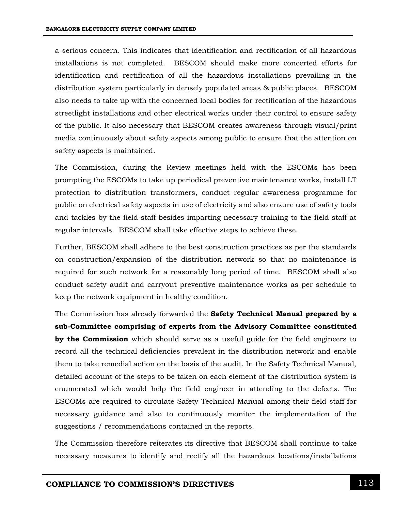a serious concern. This indicates that identification and rectification of all hazardous installations is not completed. BESCOM should make more concerted efforts for identification and rectification of all the hazardous installations prevailing in the distribution system particularly in densely populated areas & public places. BESCOM also needs to take up with the concerned local bodies for rectification of the hazardous streetlight installations and other electrical works under their control to ensure safety of the public. It also necessary that BESCOM creates awareness through visual/print media continuously about safety aspects among public to ensure that the attention on safety aspects is maintained.

The Commission, during the Review meetings held with the ESCOMs has been prompting the ESCOMs to take up periodical preventive maintenance works, install LT protection to distribution transformers, conduct regular awareness programme for public on electrical safety aspects in use of electricity and also ensure use of safety tools and tackles by the field staff besides imparting necessary training to the field staff at regular intervals. BESCOM shall take effective steps to achieve these.

Further, BESCOM shall adhere to the best construction practices as per the standards on construction/expansion of the distribution network so that no maintenance is required for such network for a reasonably long period of time. BESCOM shall also conduct safety audit and carryout preventive maintenance works as per schedule to keep the network equipment in healthy condition.

The Commission has already forwarded the **Safety Technical Manual prepared by a sub-Committee comprising of experts from the Advisory Committee constituted by the Commission** which should serve as a useful guide for the field engineers to record all the technical deficiencies prevalent in the distribution network and enable them to take remedial action on the basis of the audit. In the Safety Technical Manual, detailed account of the steps to be taken on each element of the distribution system is enumerated which would help the field engineer in attending to the defects. The ESCOMs are required to circulate Safety Technical Manual among their field staff for necessary guidance and also to continuously monitor the implementation of the suggestions / recommendations contained in the reports.

The Commission therefore reiterates its directive that BESCOM shall continue to take necessary measures to identify and rectify all the hazardous locations/installations